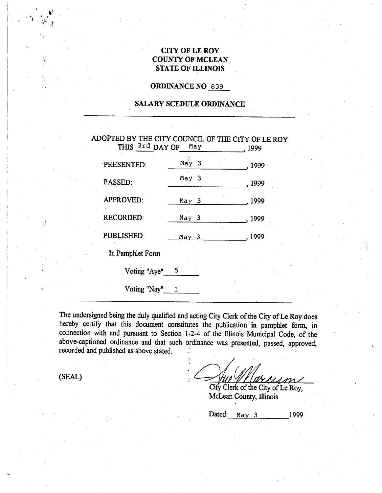### **CITY OF LE ROY COUNTY OF MCLEAN STATE OF ILLINOIS**

### **ORDINANCE NO** 839

### **SALARY SCEDULE ORDINANCE**

|   | ADOPTED BY THE CITY COUNCIL OF THE CITY OF LE ROY<br>THIS 3rd DAY OF | May              | 1999 |
|---|----------------------------------------------------------------------|------------------|------|
|   | PRESENTED:                                                           | May <sub>3</sub> | 1999 |
|   | PASSED:                                                              | May <sub>3</sub> | 1999 |
|   | APPROVED:                                                            | May 3            | 1999 |
| 診 | <b>RECORDED:</b>                                                     | May 3            | 1999 |
|   | PUBLISHED:                                                           | May 3            | 1999 |
|   | In Pamphlet Form                                                     |                  |      |
|   | Voting "Aye"                                                         | - 5              |      |
| 彰 | Voting "Nay"                                                         |                  |      |

The undersigned being the duly qualified and\_ acting City Clerk of the City of Le Roy does hereby certify that this document constitutes the publication in pamphlet form, in connection with and pursuant to Section 1-2-4 of the Illinois Municipal Code, of the above-captioned ordinance and that such ordinance was presented, passed, approved, recorded and published as above stated.

(SEAL)

ų

version

City Clerk of the City of Le Roy, McLean County, Illinois

Dated: May 3 1999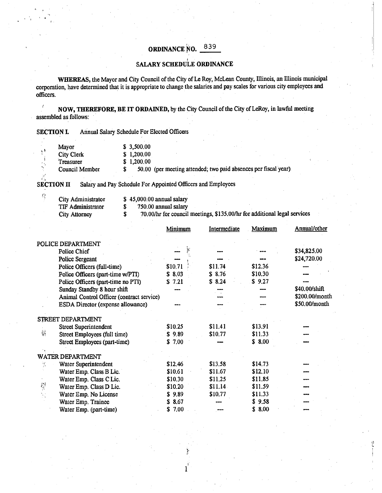# **ORDINANCE NO.** 839

## *t*  **SALARY SCHEDULE ORDINANCE**

**WHEREAS,** the Mayor and City Council of the City of Le Roy, McLean County, Illinois, an Illinois municipal corporation, have determined that it is appropriate to change the salaries and pay scales for various city employees and officers.

**IDEREFORE, BE IT ORDAINED,** by the City Council of the City of LeRoy, in lawful meeting assembled as follows:

| <b>SECTION L</b> | <b>Annual Salary Schedule For Elected Officers</b> |  |
|------------------|----------------------------------------------------|--|
|                  |                                                    |  |

| Mayor             | \$3,500.00                                                       |  |
|-------------------|------------------------------------------------------------------|--|
| <b>City Clerk</b> | \$1,200.00                                                       |  |
| <b>Treasurer</b>  | \$1,200,00                                                       |  |
| Council Member    | 50.00 (per meeting attended; two paid absences per fiscal year). |  |
|                   |                                                                  |  |

**SECTION II** Salary and Pay Schedule For Appointed Officers and Employees

| City Administrator       |  |
|--------------------------|--|
| <b>TIF Administrator</b> |  |
| $\mathbf{r}$             |  |

 $\hat{L}_i^{\rm s}$ 

 $$45,000.00$  annual salary

 $$750.00$  annual salary<br> $$70.00/hr$  for council

City Attorney \$ 70.00/hr for council meetings, \$135.00/hr for additional legal services

|               |                                           | <b>Minimum</b> | Intermediate | <u>Maximum</u> | Annual/other   |
|---------------|-------------------------------------------|----------------|--------------|----------------|----------------|
|               | POLICE DEPARTMENT                         |                |              |                |                |
|               | <b>Police Chief</b>                       |                |              |                | \$34,825.00    |
|               | <b>Police Sergeant</b>                    |                |              |                | \$24,720.00    |
|               | Police Officers (full-time)               | \$10.71        | \$11.74      | \$12.36        |                |
|               | Police Officers (part-time w/PTI)         | \$8.03         | \$8.76       | \$10.30        |                |
|               | Police Officers (part-time no PTI)        | 7.21<br>S.     | \$8.24       | \$9.27         |                |
|               | Sunday Standby 8 hour shift               |                |              |                | \$40.00/shift  |
|               | Animal Control Officer (contract service) |                |              |                | \$200.00/month |
|               | ESDA Director (expense allowance)         |                |              |                | \$50.00/month  |
|               | STREET DEPARTMENT                         |                |              |                |                |
|               | <b>Street Superintendent</b>              | \$10.25        | \$11.41      | \$13.91        |                |
| 罊             | Street Employees (full time)              | \$9.89         | \$10.77      | \$11.33        |                |
|               | Street Employees (part-time)              | 7.00<br>S.     |              | \$8.00         |                |
|               | WATER DEPARTMENT                          |                |              |                |                |
| ¥.            | Water Superintendent                      | \$12.46        | \$13.58      | \$14.73        |                |
|               | Water Emp. Class B Lic.                   | \$10.61        | \$11.67      | \$12.10        |                |
|               | Water Emp. Class C Lic.                   | \$10.30        | \$11.25      | \$11.85        |                |
| $\frac{1}{2}$ | Water Emp. Class D Lic.                   | \$10.20        | \$11.14      | \$11.59        |                |
|               | Water Emp. No License                     | \$9.89         | \$10.77      | \$11.33        |                |
|               | Water Emp. Trainee                        | 8.67<br>S.     |              | 9.58           |                |
|               | Water Emp. (part-time)                    | 7.00<br>\$     |              | \$8.00         |                |

 $\mathbf{l}$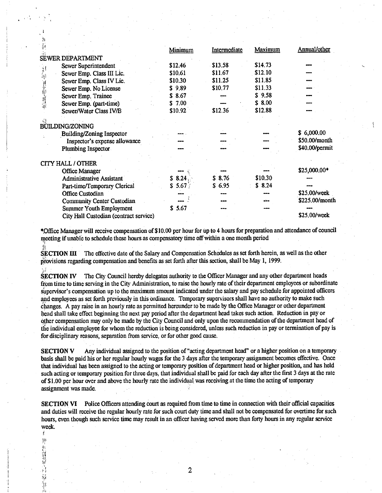|      |                                        | Minimum | Intermediate | Maximum | Annual/other   |
|------|----------------------------------------|---------|--------------|---------|----------------|
|      | <b>SEWER DEPARTMENT</b>                |         |              |         |                |
|      | Sewer Superintendent                   | \$12.46 | \$13.58      | \$14.73 |                |
| 算部   | Sewer Emp. Class III Lic.              | \$10.61 | \$11.67      | \$12.10 |                |
|      | Sewer Emp. Class IV Lic.               | \$10.30 | \$11.25      | \$11.85 |                |
|      | Sewer Emp. No License                  | \$9,89  | \$10.77      | \$11.33 |                |
| 再加班城 | Sewer Emp. Trainee                     | \$8.67  |              | \$9.58  |                |
|      | Sewer Emp. (part-time)                 | \$7.00  |              | \$8.00  |                |
|      | Sewer/Water Class IV/B                 | \$10.92 | \$12.36      | \$12.88 |                |
|      | <b>BUILDING/ZONING</b>                 |         |              |         |                |
|      | Building/Zoning Inspector              |         |              |         | \$6,000.00     |
|      | Inspector's expense allowance          |         |              |         | \$50.00/month  |
|      | Plumbing Inspector                     |         |              |         | \$40.00/permit |
|      |                                        |         |              |         |                |
|      | <b>CITY HALL / OTHER</b>               |         |              |         | \$25,000.00*   |
|      | <b>Office Manager</b>                  |         | \$8.76       | \$10.30 |                |
|      | <b>Administrative Assistant</b>        | \$8.24  | \$6.95       | \$8.24  |                |
|      | Part-time/Temporary Clerical           | \$5.67  |              |         | \$25.00/week   |
|      | <b>Office Custodian</b>                |         |              |         | \$225.00/month |
|      | <b>Community Center Custodian</b>      |         |              |         |                |
|      | <b>Summer Youth Employment</b>         | \$5.67  |              |         | \$25,00/week   |
|      | City Hall Custodian (contract service) |         |              |         |                |

\*Office Manager will receive compensation of \$10.00 per hour for up to 4 hours for preparation and attendance of council meeting if unable to schedule these hours as compensatory time off within a one month period

SECTION III The effective date of the Salary and Compensation Schedules as set forth herein, as well as the other provisions regarding compensation and benefits as set forth after this section, shall be May 1, 1999.

**SECTION IV** The City Council hereby delegates authority to the Officer Manager and any other department heads from time to time serving in the City Administration, to raise the hourly rate of their department employees or subordinate supervisor's compensation up to the maximum amount indicated under the salary and pay schedule for appointed officers and employees as set forth previously in this ordinance. Temporary supervisors shall have no authority to make such changes. A pay raise in an hourly rate as permitted hereunder to be made by the Office Manager or other department head shall take effect beginning the next pay period after the department head takes such action. Reduction in pay or other compensation may only be made by the City Council and only upon the recommendation of the department head of the individual employee for whom the reduction is being considered, unless such reduction in pay or termination of pay is for disciplinary reasons, separation from service, or for other good cause.

Any individual assigned to the position of "acting department head" or a higher position on a temporary **SECTION V** basis shall be paid his or her regular hourly wages for the 3 days after the temporary assignment becomes effective. Once that individual has been assigned to the acting or temporary position of department head or higher position, and has held such acting or temporary position for three days, that individual shall be paid for each day after the first 3 days at the rate of \$1.00 per hour over and above the hourly rate the individual was receiving at the time the acting of temporary assignment was made.

**SECTION VI** Police Officers attending court as required from time to time in connection with their official capacities and duties will receive the regular hourly rate for such court duty time and shall not be compensated for overtime for such hours, even though such service time may result in an officer having served more than forty hours in any regular service week.

÷ ĵ).

Š,

 $\overline{2}$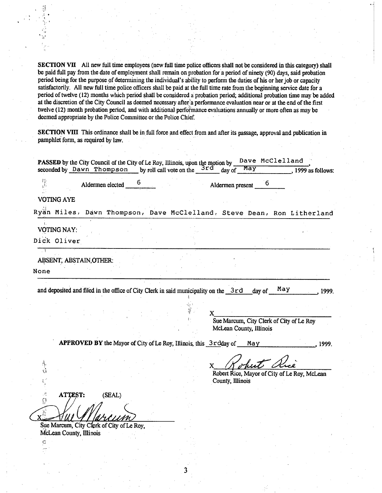**SECTION** VII All new full time employees (new full time police officers shall not be considered in this category) shall be paid full pay from the date of employment shall remain on probation fora period of ninety (90) days, said probation period being for the purpose of determining the individual's ability to perform the duties of his or her job or capacity satisfactorily. All new full time police officers shall be paid at the full time rate from the beginning service date for a period of twelve (12) months which period shall be considered a probation period; additional probation time may be added at the discretion of the City Council as deemed necessary after a performance evaluation near or at the end of the first twelve (12) month probation period, and with additional performance evaluations annually or more often as may be deemed appropriate by the Police Committee or the Police Chief.

**SECTION VIII** This ordinance shall be in full force and effect from and after its passage, approval and publication in pamphlet form, as required by law.

|                                                                        |                                                                   |        |  | seconded by Dawn Thompson by roll call vote on the $3rd$ day of |                                                                                        |                  | May                     |   |                                              | , 1999 as follows: |
|------------------------------------------------------------------------|-------------------------------------------------------------------|--------|--|-----------------------------------------------------------------|----------------------------------------------------------------------------------------|------------------|-------------------------|---|----------------------------------------------|--------------------|
| 抒                                                                      | Aldermen elected                                                  |        |  |                                                                 |                                                                                        | Aldermen present |                         | 6 |                                              |                    |
| <b>VOTING AYE</b>                                                      |                                                                   |        |  |                                                                 |                                                                                        |                  |                         |   |                                              |                    |
| Ryan Miles, Dawn Thompson, Dave McClelland, Steve Dean, Ron Litherland |                                                                   |        |  |                                                                 |                                                                                        |                  |                         |   |                                              |                    |
| <b>VOTING NAY:</b>                                                     |                                                                   |        |  |                                                                 |                                                                                        |                  |                         |   |                                              |                    |
| Dick Oliver                                                            |                                                                   |        |  |                                                                 |                                                                                        |                  |                         |   |                                              |                    |
| - 31<br>ABSENT, ABSTAIN, OTHER:                                        |                                                                   |        |  |                                                                 |                                                                                        |                  |                         |   |                                              |                    |
| None                                                                   |                                                                   |        |  |                                                                 |                                                                                        |                  |                         |   |                                              |                    |
|                                                                        |                                                                   |        |  |                                                                 | and deposited and filed in the office of City Clerk in said municipality on the $3r d$ |                  |                         |   |                                              |                    |
|                                                                        |                                                                   |        |  |                                                                 |                                                                                        |                  | McLean County, Illinois |   | Sue Marcum, City Clerk of City of Le Roy     |                    |
|                                                                        | APPROVED BY the Mayor of City of Le Roy, Illinois, this 3rdday of |        |  |                                                                 |                                                                                        |                  | May                     |   |                                              | 1999.              |
| Ğ                                                                      |                                                                   |        |  |                                                                 | $\mathbf X$                                                                            | County, Illinois |                         |   | Robert Rice, Mayor of City of Le Roy, McLean |                    |
| 沈<br>ATTEST:<br>្លា                                                    |                                                                   | (SEAL) |  |                                                                 |                                                                                        |                  |                         |   |                                              |                    |

3

Sue Marcum, City Clerk of City of Le Roy, McLean County, Illinois

 $\widetilde{\mathbf{C}}$ 

...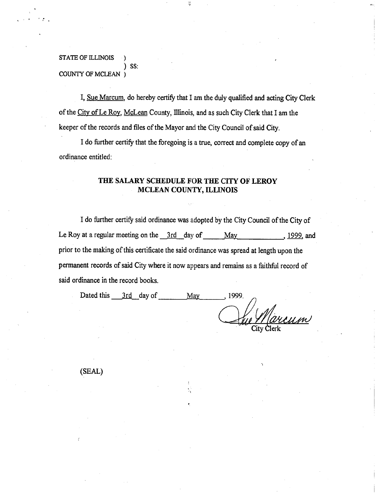### STATE OF ILLINOIS ) ) SS: COUNTY OF MCLEAN )

I, Sue Marcum, do hereby certify that I am the duly qualified and acting City Clerk of the City of Le Roy, McLean County, Illinois, and as such City Clerk that I am the keeper of the records and files of the Mayor and the City Council of said City.

I do further certify that the foregoing is a true, correct and complete copy of an ordinance entitled:

### **THE SALARY SCHEDULE FOR THE CITY OF LEROY MCLEAN COUNTY, ILLINOIS**

I do further certify said ordinance was adopted by the City Council of the City of Le Roy at a regular meeting on the  $3rd$  day of May , 1999, and prior to the making of this certificate the said ordinance was spread at length upon the permanent records of said City where it now appears and remains as a faithful record of said ordinance in the record books.

| Dated this<br>3rd day of | 1999.<br>Ma' |                        |
|--------------------------|--------------|------------------------|
|                          |              |                        |
|                          |              | Jue Marcum<br>$\sigma$ |
|                          |              | City Clerk             |

(SEAL)